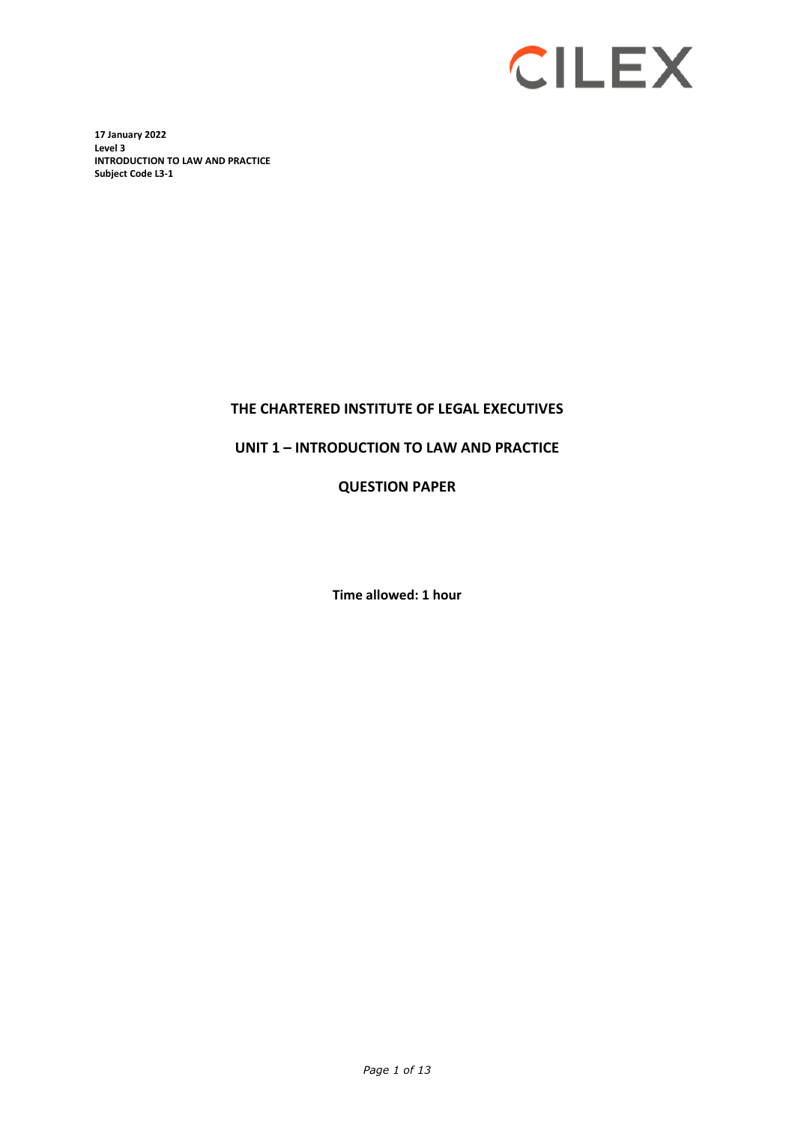

**17 January 2022 Level 3 INTRODUCTION TO LAW AND PRACTICE Subject Code L3-1** 

# **THE CHARTERED INSTITUTE OF LEGAL EXECUTIVES**

# **UNIT 1 – INTRODUCTION TO LAW AND PRACTICE**

**QUESTION PAPER**

**Time allowed: 1 hour**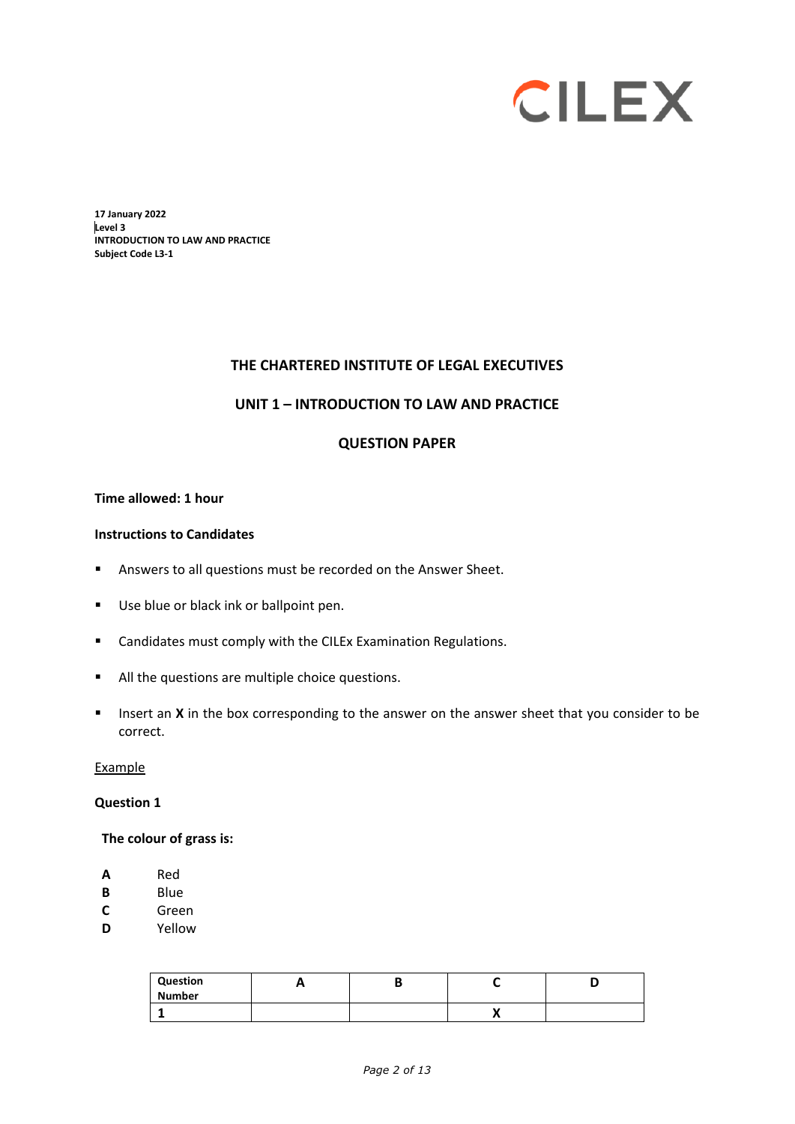# **CILEX**

**17 January 2022 Level 3 INTRODUCTION TO LAW AND PRACTICE Subject Code L3-1**

#### **THE CHARTERED INSTITUTE OF LEGAL EXECUTIVES**

#### **UNIT 1 – INTRODUCTION TO LAW AND PRACTICE**

#### **QUESTION PAPER**

#### **Time allowed: 1 hour**

#### **Instructions to Candidates**

- **Answers to all questions must be recorded on the Answer Sheet.**
- Use blue or black ink or ballpoint pen.
- Candidates must comply with the CILEx Examination Regulations.
- All the questions are multiple choice questions.
- **Insert an X** in the box corresponding to the answer on the answer sheet that you consider to be correct.

#### Example

#### **Question 1**

#### **The colour of grass is:**

- **A** Red
- **B** Blue
- **C** Green<br>**D** Yellow
- **D** Yellow

| Question<br><b>Number</b> |  |  |
|---------------------------|--|--|
|                           |  |  |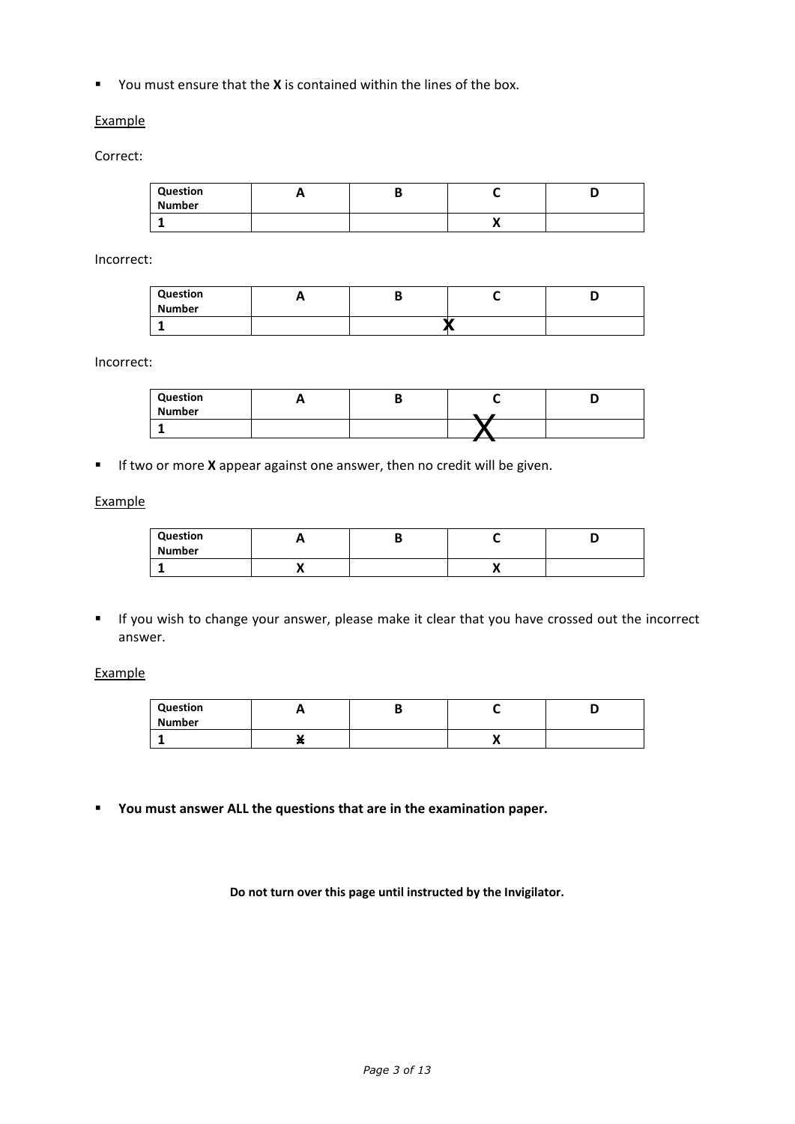You must ensure that the **X** is contained within the lines of the box.

#### **Example**

Correct:

| Question<br><b>Number</b> |  |    |  |
|---------------------------|--|----|--|
|                           |  | ,, |  |

Incorrect:

| Question<br><b>Number</b> | . . | D |  |
|---------------------------|-----|---|--|
|                           |     |   |  |

Incorrect:

| Question<br>Number |  |  |
|--------------------|--|--|
|                    |  |  |

**If two or more X** appear against one answer, then no credit will be given.

#### **Example**

| Question<br><b>Number</b> |  |  |
|---------------------------|--|--|
|                           |  |  |

 If you wish to change your answer, please make it clear that you have crossed out the incorrect answer.

**Example** 

| Question<br><b>Number</b> |     |    |  |
|---------------------------|-----|----|--|
|                           | . . | ,, |  |

**You must answer ALL the questions that are in the examination paper.**

**Do not turn over this page until instructed by the Invigilator.**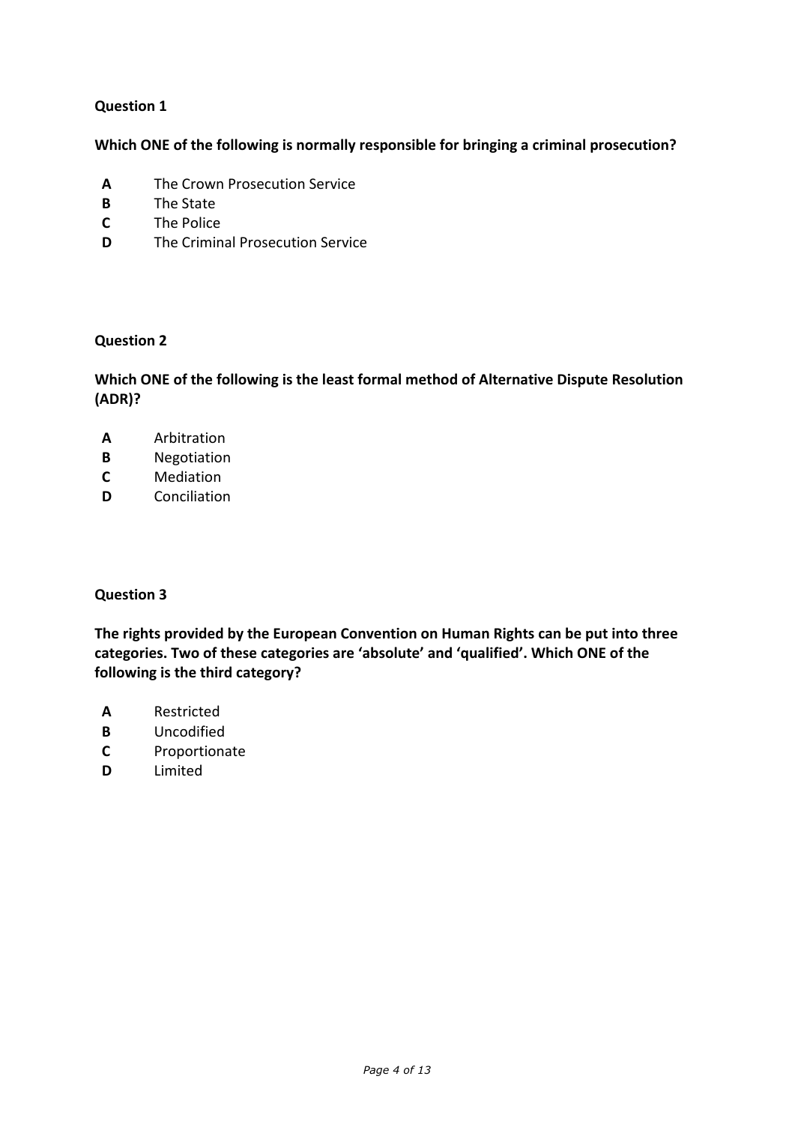**Which ONE of the following is normally responsible for bringing a criminal prosecution?**

- **A** The Crown Prosecution Service
- **B** The State
- **C** The Police
- **D** The Criminal Prosecution Service

#### **Question 2**

**Which ONE of the following is the least formal method of Alternative Dispute Resolution (ADR)?**

- **A** Arbitration
- **B** Negotiation
- **C** Mediation
- **D** Conciliation

## **Question 3**

**The rights provided by the European Convention on Human Rights can be put into three categories. Two of these categories are 'absolute' and 'qualified'. Which ONE of the following is the third category?**

- **A** Restricted
- **B** Uncodified
- **C** Proportionate
- **D** Limited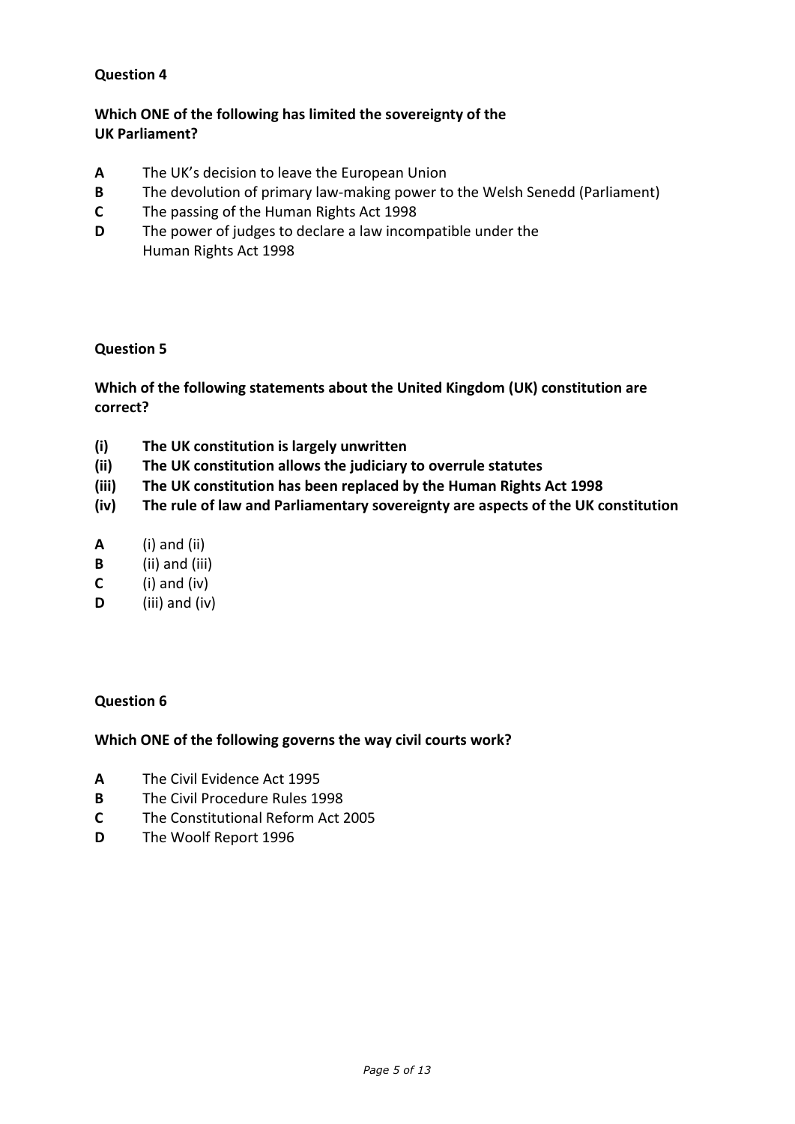# **Which ONE of the following has limited the sovereignty of the UK Parliament?**

- **A** The UK's decision to leave the European Union
- **B** The devolution of primary law-making power to the Welsh Senedd (Parliament)
- **C** The passing of the Human Rights Act 1998
- **D** The power of judges to declare a law incompatible under the Human Rights Act 1998

#### **Question 5**

## **Which of the following statements about the United Kingdom (UK) constitution are correct?**

- **(i) The UK constitution is largely unwritten**
- **(ii) The UK constitution allows the judiciary to overrule statutes**
- **(iii) The UK constitution has been replaced by the Human Rights Act 1998**
- **(iv) The rule of law and Parliamentary sovereignty are aspects of the UK constitution**
- **A** (i) and (ii)
- **B** (ii) and (iii)
- **C** (i) and (iv)
- **D** (iii) and (iv)

#### **Question 6**

#### **Which ONE of the following governs the way civil courts work?**

- **A** The Civil Evidence Act 1995
- **B** The Civil Procedure Rules 1998
- **C** The Constitutional Reform Act 2005
- **D** The Woolf Report 1996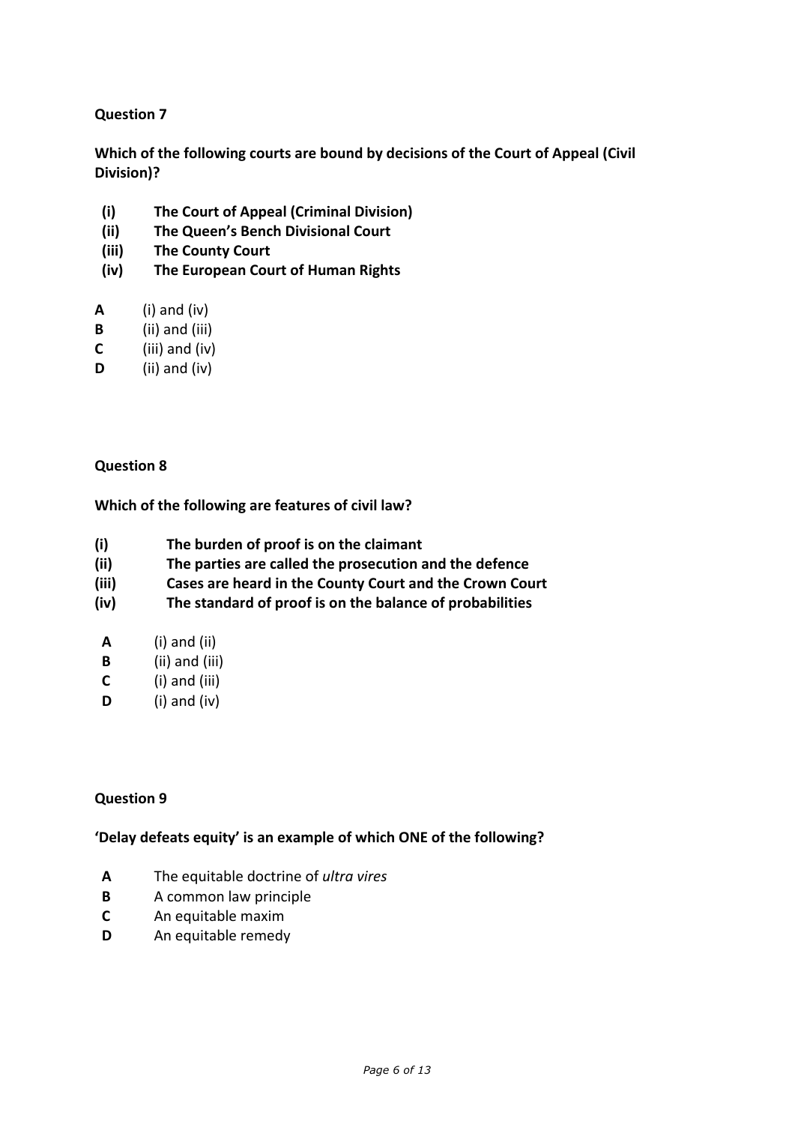**Which of the following courts are bound by decisions of the Court of Appeal (Civil Division)?**

- **(i) The Court of Appeal (Criminal Division)**
- **(ii) The Queen's Bench Divisional Court**
- **(iii) The County Court**
- **(iv) The European Court of Human Rights**
- **A** (i) and (iv)
- **B** (ii) and (iii)
- **C** (iii) and (iv)
- **D** (ii) and (iv)

## **Question 8**

## **Which of the following are features of civil law?**

- **(i) The burden of proof is on the claimant**
- **(ii) The parties are called the prosecution and the defence**
- **(iii) Cases are heard in the County Court and the Crown Court**
- **(iv) The standard of proof is on the balance of probabilities**
- **A** (i) and (ii)
- **B** (ii) and (iii)
- **C** (i) and (iii)
- **D** (i) and (iv)

## **Question 9**

## **'Delay defeats equity' is an example of which ONE of the following?**

- **A** The equitable doctrine of *ultra vires*
- **B** A common law principle
- **C** An equitable maxim
- **D** An equitable remedy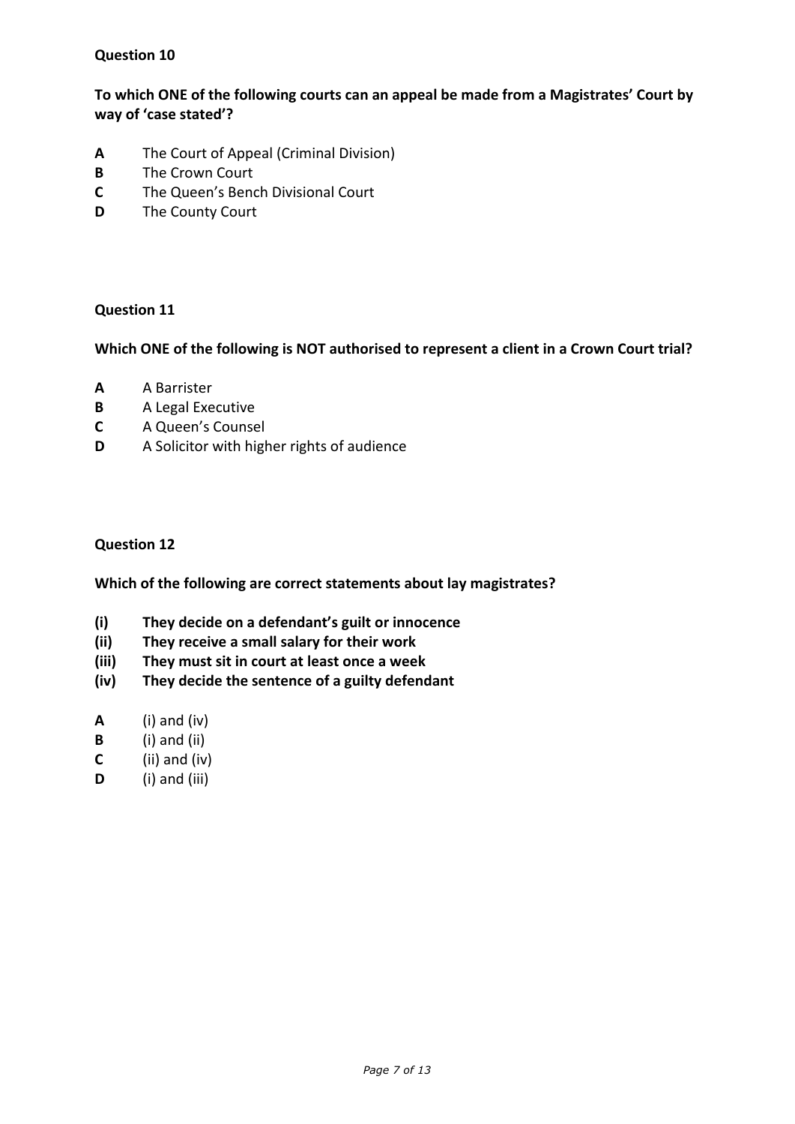**To which ONE of the following courts can an appeal be made from a Magistrates' Court by way of 'case stated'?**

- **A** The Court of Appeal (Criminal Division)
- **B** The Crown Court
- **C** The Queen's Bench Divisional Court
- **D** The County Court

#### **Question 11**

**Which ONE of the following is NOT authorised to represent a client in a Crown Court trial?**

- **A** A Barrister
- **B** A Legal Executive
- **C** A Queen's Counsel
- **D** A Solicitor with higher rights of audience

#### **Question 12**

**Which of the following are correct statements about lay magistrates?**

- **(i) They decide on a defendant's guilt or innocence**
- **(ii) They receive a small salary for their work**
- **(iii) They must sit in court at least once a week**
- **(iv) They decide the sentence of a guilty defendant**
- **A** (i) and (iv)
- **B** (i) and (ii)
- **C** (ii) and (iv)
- **D** (i) and (iii)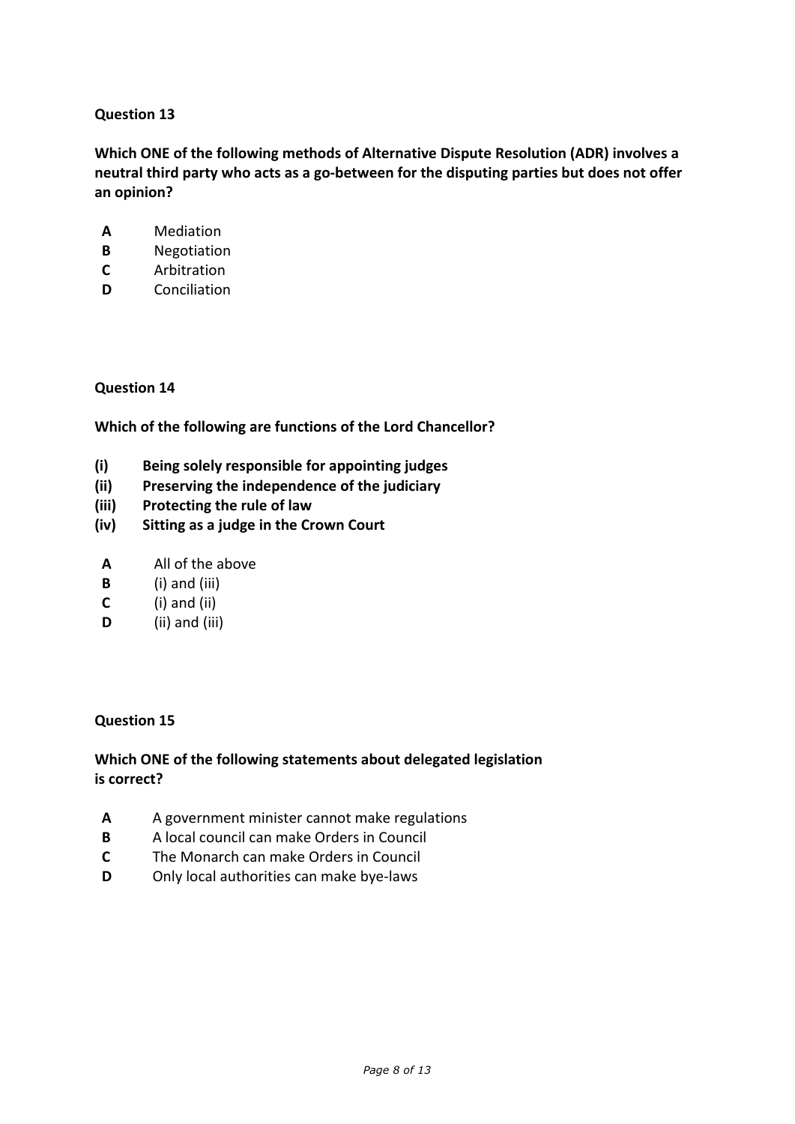**Which ONE of the following methods of Alternative Dispute Resolution (ADR) involves a neutral third party who acts as a go-between for the disputing parties but does not offer an opinion?**

- **A** Mediation
- **B** Negotiation
- **C** Arbitration
- **D** Conciliation

#### **Question 14**

**Which of the following are functions of the Lord Chancellor?**

- **(i) Being solely responsible for appointing judges**
- **(ii) Preserving the independence of the judiciary**
- **(iii) Protecting the rule of law**
- **(iv) Sitting as a judge in the Crown Court**
- **A** All of the above
- **B** (i) and (iii)
- **C** (i) and (ii)
- **D** (ii) and (iii)

#### **Question 15**

## **Which ONE of the following statements about delegated legislation is correct?**

- **A** A government minister cannot make regulations
- **B** A local council can make Orders in Council
- **C** The Monarch can make Orders in Council
- **D** Only local authorities can make bye-laws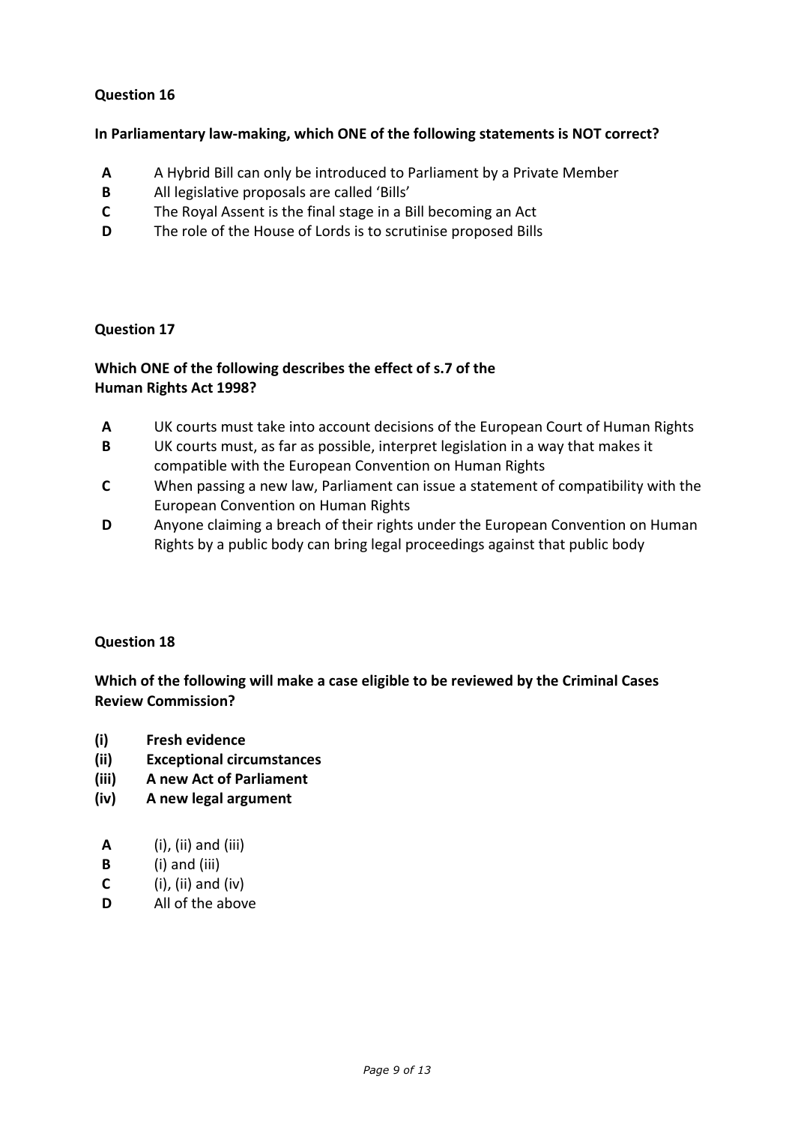## **In Parliamentary law-making, which ONE of the following statements is NOT correct?**

- **A** A Hybrid Bill can only be introduced to Parliament by a Private Member
- **B** All legislative proposals are called 'Bills'
- **C** The Royal Assent is the final stage in a Bill becoming an Act
- **D** The role of the House of Lords is to scrutinise proposed Bills

#### **Question 17**

# **Which ONE of the following describes the effect of s.7 of the Human Rights Act 1998?**

- **A** UK courts must take into account decisions of the European Court of Human Rights
- **B** UK courts must, as far as possible, interpret legislation in a way that makes it compatible with the European Convention on Human Rights
- **C** When passing a new law, Parliament can issue a statement of compatibility with the European Convention on Human Rights
- **D** Anyone claiming a breach of their rights under the European Convention on Human Rights by a public body can bring legal proceedings against that public body

#### **Question 18**

**Which of the following will make a case eligible to be reviewed by the Criminal Cases Review Commission?**

- **(i) Fresh evidence**
- **(ii) Exceptional circumstances**
- **(iii) A new Act of Parliament**
- **(iv) A new legal argument**
- **A** (i), (ii) and (iii)
- **B** (i) and (iii)
- **C** (i), (ii) and (iv)
- **D** All of the above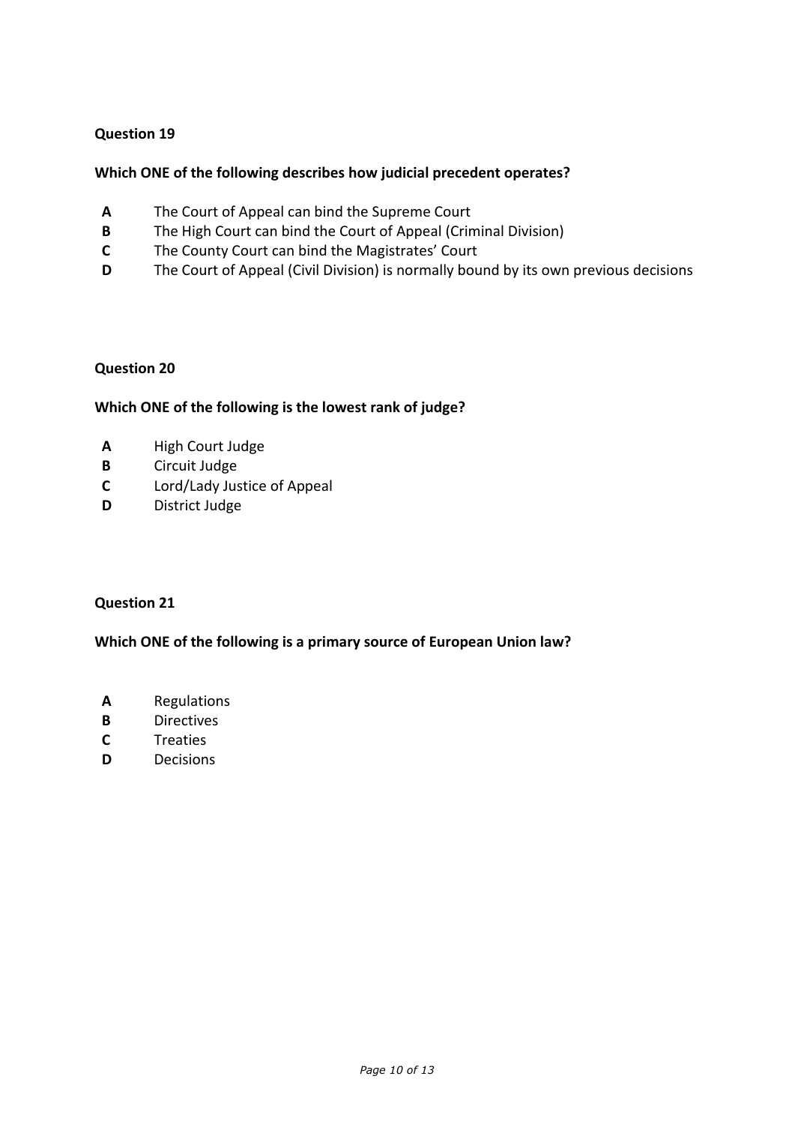#### **Which ONE of the following describes how judicial precedent operates?**

- **A** The Court of Appeal can bind the Supreme Court
- **B** The High Court can bind the Court of Appeal (Criminal Division)
- **C** The County Court can bind the Magistrates' Court
- **D** The Court of Appeal (Civil Division) is normally bound by its own previous decisions

#### **Question 20**

#### **Which ONE of the following is the lowest rank of judge?**

- **A** High Court Judge
- **B** Circuit Judge
- **C** Lord/Lady Justice of Appeal
- **D** District Judge

#### **Question 21**

**Which ONE of the following is a primary source of European Union law?**

- **A** Regulations
- **B** Directives
- **C** Treaties
- **D** Decisions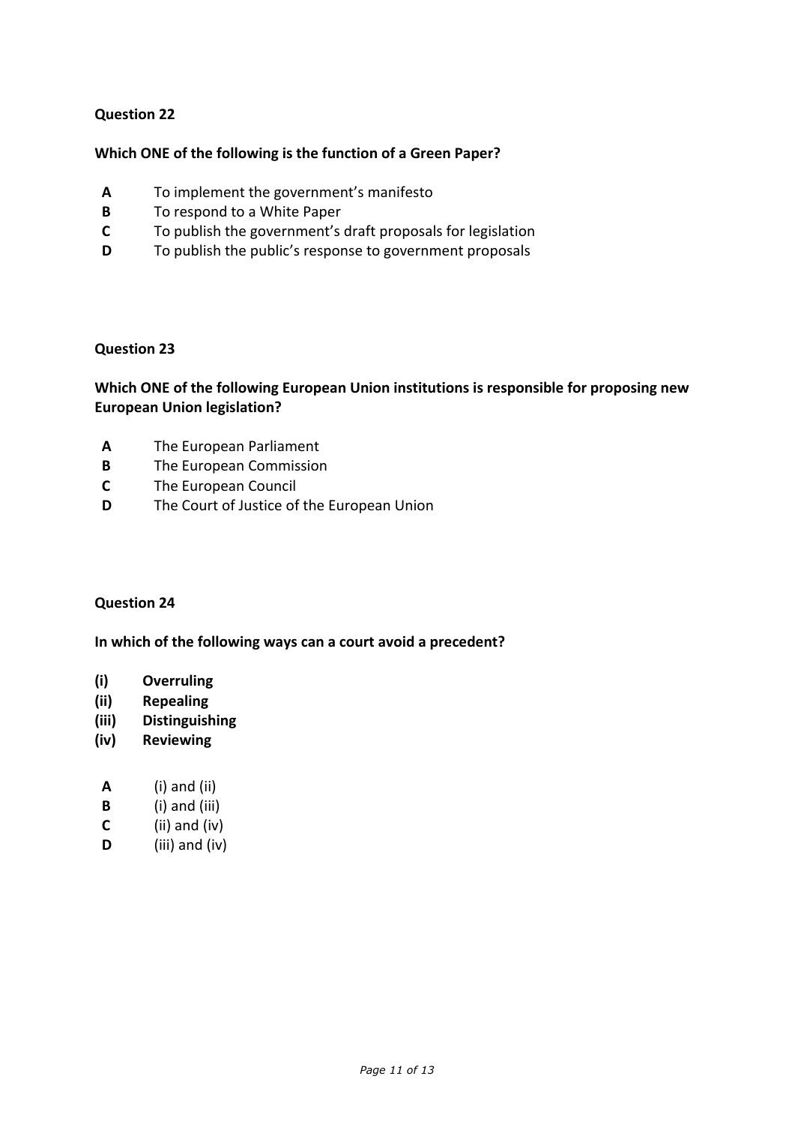#### **Which ONE of the following is the function of a Green Paper?**

- **A** To implement the government's manifesto
- **B** To respond to a White Paper
- **C** To publish the government's draft proposals for legislation
- **D** To publish the public's response to government proposals

#### **Question 23**

## **Which ONE of the following European Union institutions is responsible for proposing new European Union legislation?**

- **A** The European Parliament
- **B** The European Commission
- **C** The European Council
- **D** The Court of Justice of the European Union

#### **Question 24**

**In which of the following ways can a court avoid a precedent?**

- **(i) Overruling**
- **(ii) Repealing**
- **(iii) Distinguishing**
- **(iv) Reviewing**
- **A** (i) and (ii)
- **B** (i) and (iii)
- **C** (ii) and (iv)
- **D** (iii) and (iv)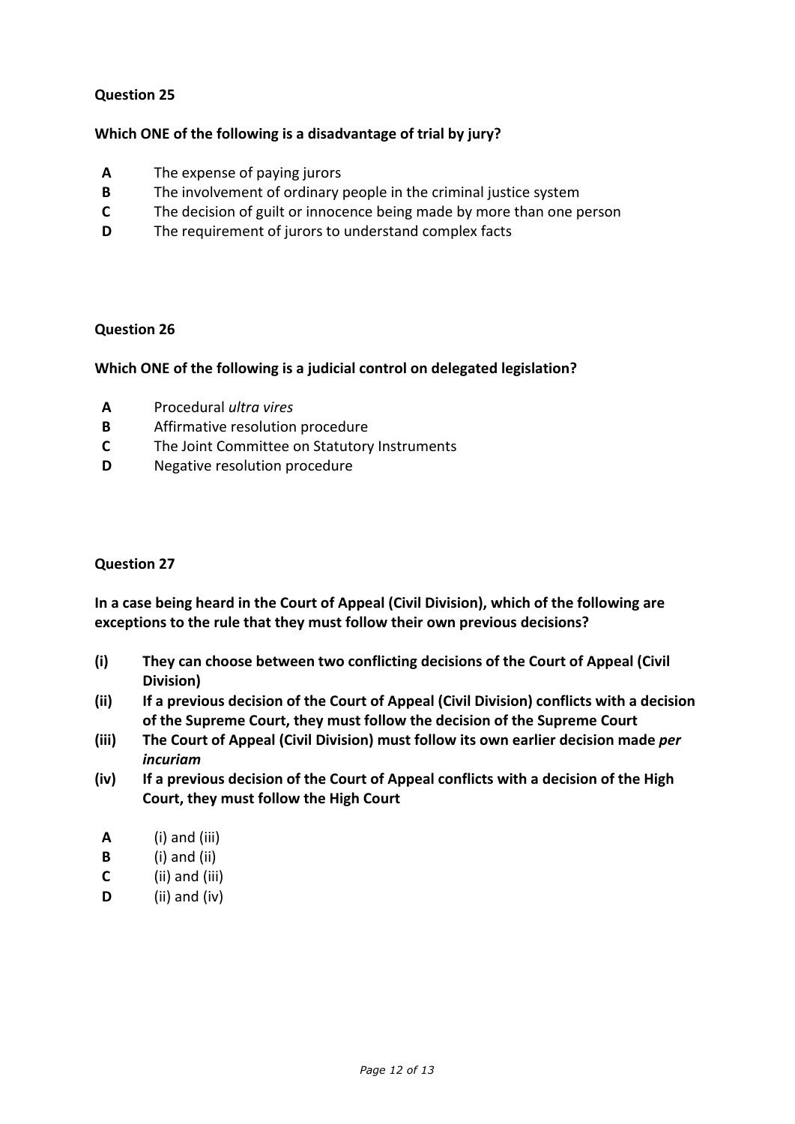## **Which ONE of the following is a disadvantage of trial by jury?**

- **A** The expense of paying jurors
- **B** The involvement of ordinary people in the criminal justice system
- **C** The decision of guilt or innocence being made by more than one person
- **D** The requirement of jurors to understand complex facts

#### **Question 26**

#### **Which ONE of the following is a judicial control on delegated legislation?**

- **A** Procedural *ultra vires*
- **B** Affirmative resolution procedure
- **C** The Joint Committee on Statutory Instruments
- **D** Negative resolution procedure

#### **Question 27**

**In a case being heard in the Court of Appeal (Civil Division), which of the following are exceptions to the rule that they must follow their own previous decisions?**

- **(i) They can choose between two conflicting decisions of the Court of Appeal (Civil Division)**
- **(ii) If a previous decision of the Court of Appeal (Civil Division) conflicts with a decision of the Supreme Court, they must follow the decision of the Supreme Court**
- **(iii) The Court of Appeal (Civil Division) must follow its own earlier decision made** *per incuriam*
- **(iv) If a previous decision of the Court of Appeal conflicts with a decision of the High Court, they must follow the High Court**
- **A** (i) and (iii)
- **B** (i) and (ii)
- **C** (ii) and (iii)
- **D** (ii) and (iv)